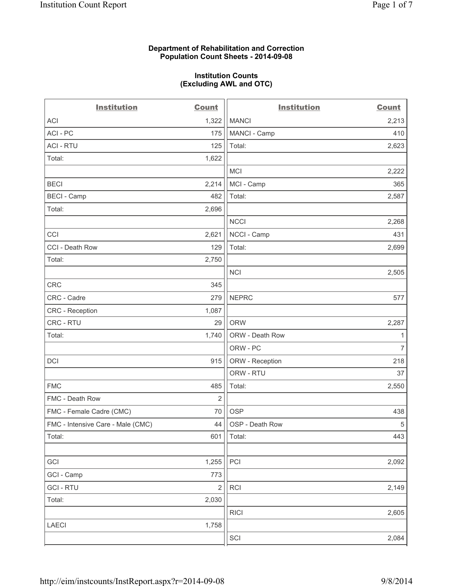### **Department of Rehabilitation and Correction Population Count Sheets - 2014-09-08**

### **Institution Counts (Excluding AWL and OTC)**

| <b>Institution</b>                | <b>Count</b>   | <b>Institution</b> | <b>Count</b>   |
|-----------------------------------|----------------|--------------------|----------------|
| ACI                               | 1,322          | <b>MANCI</b>       | 2,213          |
| ACI - PC                          | 175            | MANCI - Camp       | 410            |
| <b>ACI - RTU</b>                  | 125            | Total:             | 2,623          |
| Total:                            | 1,622          |                    |                |
|                                   |                | <b>MCI</b>         | 2,222          |
| <b>BECI</b>                       | 2,214          | MCI - Camp         | 365            |
| <b>BECI</b> - Camp                | 482            | Total:             | 2,587          |
| Total:                            | 2,696          |                    |                |
|                                   |                | <b>NCCI</b>        | 2,268          |
| CCI                               | 2,621          | NCCI - Camp        | 431            |
| CCI - Death Row                   | 129            | Total:             | 2,699          |
| Total:                            | 2,750          |                    |                |
|                                   |                | <b>NCI</b>         | 2,505          |
| CRC                               | 345            |                    |                |
| CRC - Cadre                       | 279            | <b>NEPRC</b>       | 577            |
| CRC - Reception                   | 1,087          |                    |                |
| CRC - RTU                         | 29             | <b>ORW</b>         | 2,287          |
| Total:                            | 1,740          | ORW - Death Row    | 1              |
|                                   |                | ORW - PC           | $\overline{7}$ |
| <b>DCI</b>                        | 915            | ORW - Reception    | 218            |
|                                   |                | ORW - RTU          | 37             |
| <b>FMC</b>                        | 485            | Total:             | 2,550          |
| FMC - Death Row                   | 2              |                    |                |
| FMC - Female Cadre (CMC)          | 70             | <b>OSP</b>         | 438            |
| FMC - Intensive Care - Male (CMC) | 44             | OSP - Death Row    | $\sqrt{5}$     |
| Total:                            | 601            | Total:             | 443            |
|                                   |                |                    |                |
| GCI                               | 1,255          | PCI                | 2,092          |
| GCI - Camp                        | 773            |                    |                |
| <b>GCI-RTU</b>                    | $\overline{2}$ | <b>RCI</b>         | 2,149          |
| Total:                            | 2,030          |                    |                |
|                                   |                | <b>RICI</b>        | 2,605          |
| LAECI                             | 1,758          |                    |                |
|                                   |                | SCI                | 2,084          |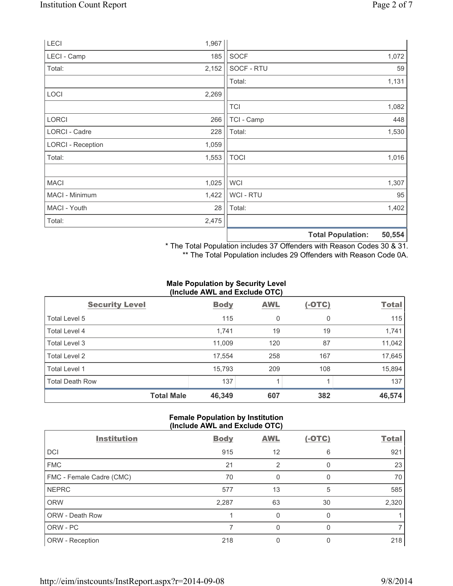|                          |       |                | <b>Total Population:</b> | 50,554 |
|--------------------------|-------|----------------|--------------------------|--------|
| Total:                   | 2,475 |                |                          |        |
| MACI - Youth             | 28    | Total:         |                          | 1,402  |
| MACI - Minimum           | 1,422 | <b>WCI-RTU</b> |                          | 95     |
| <b>MACI</b>              | 1,025 | <b>WCI</b>     |                          | 1,307  |
| Total:                   | 1,553 | <b>TOCI</b>    |                          | 1,016  |
| <b>LORCI - Reception</b> | 1,059 |                |                          |        |
| LORCI - Cadre            | 228   | Total:         |                          | 1,530  |
| <b>LORCI</b>             | 266   | TCI - Camp     |                          | 448    |
|                          |       | <b>TCI</b>     |                          | 1,082  |
| LOCI                     | 2,269 |                |                          |        |
|                          |       | Total:         |                          | 1,131  |
| Total:                   | 2,152 | SOCF - RTU     |                          | 59     |
| LECI - Camp              | 185   | <b>SOCF</b>    |                          | 1,072  |
| LECI                     | 1,967 |                |                          |        |

\* The Total Population includes 37 Offenders with Reason Codes 30 & 31.

\*\* The Total Population includes 29 Offenders with Reason Code 0A.

### **Male Population by Security Level (Include AWL and Exclude OTC)**

|                        | $\frac{1}{2}$ |            |          |              |
|------------------------|---------------|------------|----------|--------------|
| <b>Security Level</b>  | <b>Body</b>   | <b>AWL</b> | $(-OTC)$ | <b>Total</b> |
| Total Level 5          | 115           | 0          | 0        | 115          |
| Total Level 4          | 1,741         | 19         | 19       | 1,741        |
| Total Level 3          | 11,009        | 120        | 87       | 11,042       |
| Total Level 2          | 17,554        | 258        | 167      | 17,645       |
| Total Level 1          | 15,793        | 209        | 108      | 15,894       |
| <b>Total Death Row</b> | 137           |            |          | 137          |
| <b>Total Male</b>      | 46,349        | 607        | 382      | 46,574       |

# **Female Population by Institution (Include AWL and Exclude OTC)**

| <b>Institution</b>       | <b>Body</b> | <b>AWL</b> | $(-OTC)$ | <b>Total</b> |
|--------------------------|-------------|------------|----------|--------------|
| DCI                      | 915         | 12         | 6        | 921          |
| <b>FMC</b>               | 21          | 2          |          | 23           |
| FMC - Female Cadre (CMC) | 70          | 0          |          | 70           |
| <b>NEPRC</b>             | 577         | 13         | 5        | 585          |
| <b>ORW</b>               | 2,287       | 63         | 30       | 2,320        |
| ORW - Death Row          |             | 0          |          |              |
| ORW - PC                 |             | 0          |          |              |
| ORW - Reception          | 218         |            |          | 218          |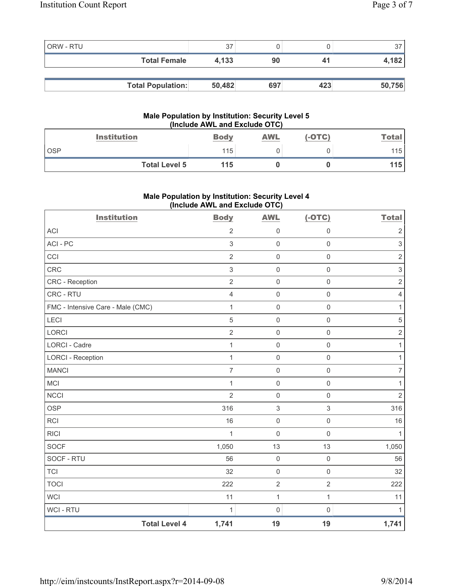| ORW - RTU |                          | 37     |     |     |        |
|-----------|--------------------------|--------|-----|-----|--------|
|           | <b>Total Female</b>      | 4,133  | 90  | 41  | 4,182  |
|           |                          |        |     |     |        |
|           | <b>Total Population:</b> | 50,482 | 697 | 423 | 50,756 |

### **Male Population by Institution: Security Level 5 (Include AWL and Exclude OTC)**

| <b>Institution</b>   | <b>Body</b> | <b>AWL</b> | $(-OTC)$ | <b>Total</b> |
|----------------------|-------------|------------|----------|--------------|
| OSP                  | 115         |            |          | 115          |
| <b>Total Level 5</b> | 115         |            |          | 115          |

# **Male Population by Institution: Security Level 4 (Include AWL and Exclude OTC)**

| <b>Institution</b>                | <b>Body</b>    | <b>AWL</b>                | $(-OTC)$                  | <b>Total</b>     |
|-----------------------------------|----------------|---------------------------|---------------------------|------------------|
| <b>ACI</b>                        | $\overline{2}$ | $\mathsf{O}\xspace$       | 0                         | $\sqrt{2}$       |
| ACI - PC                          | $\mathfrak{S}$ | $\mathsf 0$               | $\mathsf{O}\xspace$       | $\mathsf 3$      |
| CCI                               | $\overline{2}$ | $\mathsf{O}\xspace$       | $\mathsf{O}\xspace$       | $\overline{2}$   |
| <b>CRC</b>                        | $\sqrt{3}$     | $\mathsf{O}\xspace$       | $\mathsf{O}\xspace$       | $\mathfrak{S}$   |
| CRC - Reception                   | $\overline{2}$ | $\mathsf{O}\xspace$       | $\mathsf{O}\xspace$       | $\overline{2}$   |
| CRC - RTU                         | $\overline{4}$ | $\mathbf 0$               | $\mathbf 0$               | $\overline{4}$   |
| FMC - Intensive Care - Male (CMC) | 1              | $\mathsf 0$               | $\mathsf 0$               | $\mathbf{1}$     |
| <b>LECI</b>                       | 5              | $\mathsf{O}\xspace$       | $\mathsf{O}\xspace$       | $\overline{5}$   |
| <b>LORCI</b>                      | $\overline{2}$ | $\mathbf 0$               | $\mathbf 0$               | $\overline{2}$   |
| <b>LORCI - Cadre</b>              | 1              | $\mathsf{O}\xspace$       | $\mathsf{O}\xspace$       | 1                |
| <b>LORCI - Reception</b>          | 1              | $\mathsf{O}\xspace$       | $\mathsf{O}\xspace$       | 1                |
| <b>MANCI</b>                      | $\overline{7}$ | $\mathsf{O}\xspace$       | $\mathsf{O}\xspace$       | $\boldsymbol{7}$ |
| MCI                               | 1              | $\mathsf{O}\xspace$       | $\mathsf 0$               | 1                |
| <b>NCCI</b>                       | $\overline{2}$ | $\mathsf{O}\xspace$       | $\mathbf 0$               | $\overline{2}$   |
| <b>OSP</b>                        | 316            | $\ensuremath{\mathsf{3}}$ | $\ensuremath{\mathsf{3}}$ | 316              |
| <b>RCI</b>                        | 16             | $\mathsf{O}\xspace$       | 0                         | 16               |
| <b>RICI</b>                       | $\mathbf{1}$   | $\mathsf{O}\xspace$       | $\mathbf 0$               | $\mathbf{1}$     |
| <b>SOCF</b>                       | 1,050          | 13                        | 13                        | 1,050            |
| SOCF - RTU                        | 56             | $\mathsf{O}\xspace$       | $\mathsf{O}\xspace$       | 56               |
| <b>TCI</b>                        | 32             | $\mathsf{O}\xspace$       | $\mathsf{O}\xspace$       | 32               |
| <b>TOCI</b>                       | 222            | $\overline{2}$            | $\overline{2}$            | 222              |
| <b>WCI</b>                        | 11             | $\mathbf{1}$              | $\mathbf{1}$              | 11               |
| WCI - RTU                         | 1              | $\mathsf{O}\xspace$       | $\mathsf{O}\xspace$       | $\mathbf{1}$     |
| <b>Total Level 4</b>              | 1,741          | 19                        | 19                        | 1,741            |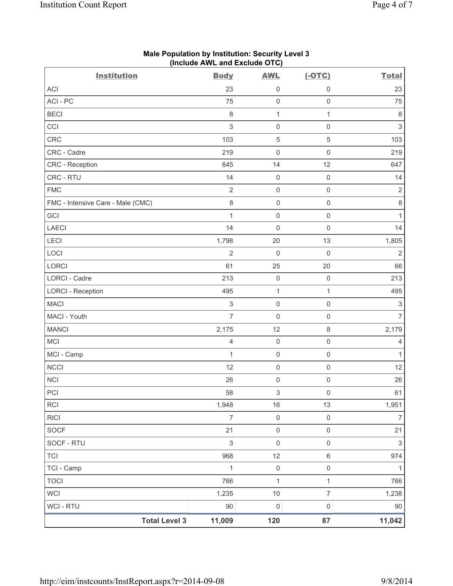| <b>Institution</b>                | <b>Body</b>    | <b>AWL</b>                | $(-OTC)$            | <b>Total</b>              |
|-----------------------------------|----------------|---------------------------|---------------------|---------------------------|
| <b>ACI</b>                        | 23             | 0                         | 0                   | 23                        |
| ACI - PC                          | 75             | $\mathsf{O}\xspace$       | $\mathsf 0$         | 75                        |
| <b>BECI</b>                       | $\,8\,$        | $\mathbf{1}$              | $\mathbf{1}$        | $\,8\,$                   |
| CCI                               | $\mathsf 3$    | 0                         | $\mathsf 0$         | $\ensuremath{\mathsf{3}}$ |
| CRC                               | 103            | $\sqrt{5}$                | 5                   | 103                       |
| CRC - Cadre                       | 219            | $\mathsf{O}\xspace$       | $\mathsf 0$         | 219                       |
| CRC - Reception                   | 645            | 14                        | 12                  | 647                       |
| CRC - RTU                         | 14             | 0                         | $\mathsf 0$         | 14                        |
| <b>FMC</b>                        | $\overline{2}$ | $\mathsf 0$               | $\mathsf 0$         | $\sqrt{2}$                |
| FMC - Intensive Care - Male (CMC) | $\,8\,$        | 0                         | $\mathsf{O}\xspace$ | $\,8\,$                   |
| GCI                               | $\mathbf{1}$   | 0                         | $\mathsf 0$         | 1                         |
| <b>LAECI</b>                      | 14             | $\mathsf 0$               | $\mathsf 0$         | 14                        |
| LECI                              | 1,798          | 20                        | 13                  | 1,805                     |
| LOCI                              | $\overline{2}$ | $\mathsf{O}\xspace$       | $\mathsf 0$         | $\overline{2}$            |
| LORCI                             | 61             | 25                        | 20                  | 66                        |
| <b>LORCI - Cadre</b>              | 213            | $\mathsf{O}\xspace$       | $\mathsf 0$         | 213                       |
| <b>LORCI - Reception</b>          | 495            | 1                         | $\mathbf{1}$        | 495                       |
| <b>MACI</b>                       | $\mathsf 3$    | 0                         | $\mathsf 0$         | $\mathsf 3$               |
| MACI - Youth                      | $\overline{7}$ | $\mathsf{O}\xspace$       | $\mathsf 0$         | $\overline{7}$            |
| <b>MANCI</b>                      | 2,175          | 12                        | $\,8\,$             | 2,179                     |
| <b>MCI</b>                        | $\overline{4}$ | $\mathsf{O}\xspace$       | $\mathsf 0$         | 4                         |
| MCI - Camp                        | 1              | $\mathsf 0$               | $\mathsf 0$         | 1                         |
| <b>NCCI</b>                       | 12             | $\mathsf 0$               | $\mathsf 0$         | 12                        |
| <b>NCI</b>                        | 26             | 0                         | $\mathsf 0$         | 26                        |
| PCI                               | 58             | $\ensuremath{\mathsf{3}}$ | $\mathsf 0$         | 61                        |
| RCI                               | 1,948          | $16\,$                    | 13                  | 1,951                     |
| <b>RICI</b>                       | $\overline{7}$ | $\mathsf{O}\xspace$       | $\mathsf 0$         | $\overline{7}$            |
| SOCF                              | 21             | $\mathsf{O}\xspace$       | $\mathbf 0$         | 21                        |
| SOCF - RTU                        | $\mathsf 3$    | $\mathsf{O}\xspace$       | $\mathsf 0$         | $\ensuremath{\mathsf{3}}$ |
| <b>TCI</b>                        | 968            | 12                        | $\,6\,$             | 974                       |
| TCI - Camp                        | $\mathbf{1}$   | $\mathsf{O}\xspace$       | $\mathsf{O}\xspace$ | 1                         |
| <b>TOCI</b>                       | 766            | $\mathbf{1}$              | $\mathbf{1}$        | 766                       |
| <b>WCI</b>                        | 1,235          | $10$                      | $\overline{7}$      | 1,238                     |
| <b>WCI - RTU</b>                  | $90\,$         | 0                         | $\mathsf{O}\xspace$ | 90                        |
| <b>Total Level 3</b>              | 11,009         | 120                       | 87                  | 11,042                    |

## **Male Population by Institution: Security Level 3 (Include AWL and Exclude OTC)**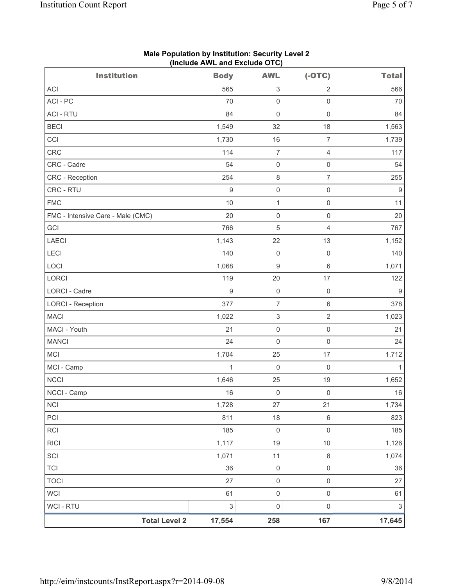| <b>Institution</b>                | <br><b>Body</b>                | <b>AWL</b>                | $(-OTC)$            | <b>Total</b>              |
|-----------------------------------|--------------------------------|---------------------------|---------------------|---------------------------|
| <b>ACI</b>                        | 565                            | 3                         | $\overline{2}$      | 566                       |
| ACI-PC                            | 70                             | $\mathsf{O}\xspace$       | $\mathsf{O}\xspace$ | 70                        |
| <b>ACI - RTU</b>                  | 84                             | $\mathsf{O}\xspace$       | $\mathsf{O}\xspace$ | 84                        |
| <b>BECI</b>                       | 1,549                          | 32                        | 18                  | 1,563                     |
| CCI                               | 1,730                          | 16                        | $\overline{7}$      | 1,739                     |
| <b>CRC</b>                        | 114                            | $\overline{7}$            | $\overline{4}$      | 117                       |
| CRC - Cadre                       | 54                             | $\mathsf{O}\xspace$       | $\mathsf{O}\xspace$ | 54                        |
| CRC - Reception                   | 254                            | $\,8\,$                   | $\overline{7}$      | 255                       |
| CRC - RTU                         | $\hbox{9}$                     | $\mathsf 0$               | $\mathsf{O}\xspace$ | $\boldsymbol{9}$          |
| <b>FMC</b>                        | 10                             | $\mathbf{1}$              | $\mathsf{O}\xspace$ | 11                        |
| FMC - Intensive Care - Male (CMC) | 20                             | $\mathsf{O}\xspace$       | $\mathsf{O}\xspace$ | 20                        |
| GCI                               | 766                            | $\sqrt{5}$                | 4                   | 767                       |
| <b>LAECI</b>                      | 1,143                          | 22                        | 13                  | 1,152                     |
| LECI                              | 140                            | $\mathbf 0$               | $\mathsf{O}\xspace$ | 140                       |
| LOCI                              | 1,068                          | $\boldsymbol{9}$          | 6                   | 1,071                     |
| LORCI                             | 119                            | 20                        | 17                  | 122                       |
| LORCI - Cadre                     | $\hbox{9}$                     | $\mathsf 0$               | $\mathsf{O}\xspace$ | $\boldsymbol{9}$          |
| <b>LORCI - Reception</b>          | 377                            | $\overline{7}$            | 6                   | 378                       |
| <b>MACI</b>                       | 1,022                          | $\ensuremath{\mathsf{3}}$ | $\overline{2}$      | 1,023                     |
| MACI - Youth                      | 21                             | $\mathsf{O}\xspace$       | $\mathsf{O}\xspace$ | 21                        |
| <b>MANCI</b>                      | 24                             | $\mathbf 0$               | $\mathsf 0$         | 24                        |
| <b>MCI</b>                        | 1,704                          | 25                        | 17                  | 1,712                     |
| MCI - Camp                        | $\mathbf{1}$                   | $\mathsf 0$               | $\mathsf{O}\xspace$ | $\mathbf{1}$              |
| <b>NCCI</b>                       | 1,646                          | 25                        | 19                  | 1,652                     |
| NCCI - Camp                       | 16                             | $\mathbf 0$               | $\mathbf 0$         | 16                        |
| <b>NCI</b>                        | 1,728                          | 27                        | 21                  | 1,734                     |
| PCI                               | 811                            | 18                        | 6                   | 823                       |
| <b>RCI</b>                        | 185                            | $\boldsymbol{0}$          | $\mathsf{O}\xspace$ | 185                       |
| <b>RICI</b>                       | 1,117                          | 19                        | $10$                | 1,126                     |
| SCI                               | 1,071                          | 11                        | $\,8\,$             | 1,074                     |
| <b>TCI</b>                        | 36                             | $\mathsf{O}\xspace$       | $\mathsf{O}\xspace$ | 36                        |
| <b>TOCI</b>                       | 27                             | $\mathsf{O}\xspace$       | $\mathsf{O}\xspace$ | 27                        |
| <b>WCI</b>                        | 61                             | $\mathsf{O}\xspace$       | $\mathsf{O}\xspace$ | 61                        |
| WCI - RTU                         | $\ensuremath{\mathsf{3}}$      | $\mathsf{O}\xspace$       | $\mathsf{O}\xspace$ | $\ensuremath{\mathsf{3}}$ |
|                                   | <b>Total Level 2</b><br>17,554 | 258                       | 167                 | 17,645                    |

# **Male Population by Institution: Security Level 2 (Include AWL and Exclude OTC)**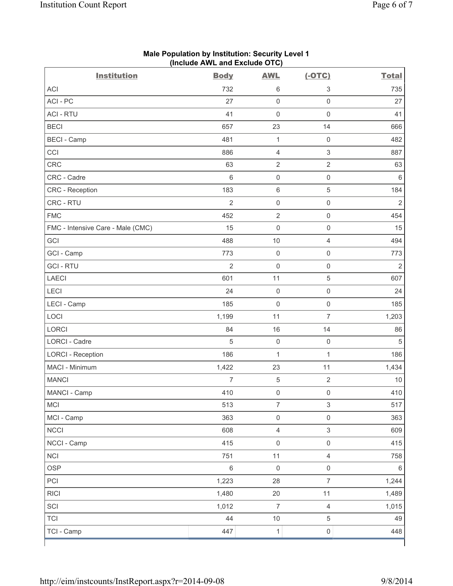| <b>Institution</b>                | <b>Body</b>    | <b>AWL</b>          | $(-OTC)$                  | <b>Total</b>   |
|-----------------------------------|----------------|---------------------|---------------------------|----------------|
| <b>ACI</b>                        | 732            | $\,6\,$             | 3                         | 735            |
| ACI-PC                            | 27             | $\mathsf 0$         | $\mathsf 0$               | 27             |
| <b>ACI - RTU</b>                  | 41             | $\mathbf 0$         | $\mathbf 0$               | 41             |
| <b>BECI</b>                       | 657            | 23                  | 14                        | 666            |
| <b>BECI - Camp</b>                | 481            | $\mathbf 1$         | $\mathsf 0$               | 482            |
| CCI                               | 886            | $\overline{4}$      | $\mathsf 3$               | 887            |
| CRC                               | 63             | $\sqrt{2}$          | $\sqrt{2}$                | 63             |
| CRC - Cadre                       | 6              | $\mathsf{O}\xspace$ | $\mathsf 0$               | 6              |
| CRC - Reception                   | 183            | $\,6\,$             | $\sqrt{5}$                | 184            |
| CRC - RTU                         | $\overline{2}$ | $\mathsf{O}\xspace$ | $\mathsf 0$               | $\overline{2}$ |
| <b>FMC</b>                        | 452            | $\overline{2}$      | $\mathsf 0$               | 454            |
| FMC - Intensive Care - Male (CMC) | 15             | $\mathbf 0$         | $\mathbf 0$               | 15             |
| GCI                               | 488            | 10                  | $\overline{4}$            | 494            |
| GCI - Camp                        | 773            | $\mathsf{O}\xspace$ | $\mathsf 0$               | 773            |
| <b>GCI-RTU</b>                    | $\overline{2}$ | $\mathsf{O}\xspace$ | $\mathsf 0$               | $\overline{2}$ |
| <b>LAECI</b>                      | 601            | 11                  | $\sqrt{5}$                | 607            |
| <b>LECI</b>                       | 24             | $\mathsf{O}\xspace$ | $\mathsf 0$               | 24             |
| LECI - Camp                       | 185            | $\mathsf{O}\xspace$ | $\mathsf 0$               | 185            |
| LOCI                              | 1,199          | 11                  | $\overline{7}$            | 1,203          |
| LORCI                             | 84             | 16                  | 14                        | 86             |
| LORCI - Cadre                     | 5              | $\mathsf{O}\xspace$ | $\mathbf 0$               | 5              |
| <b>LORCI - Reception</b>          | 186            | $\mathbf 1$         | 1                         | 186            |
| MACI - Minimum                    | 1,422          | 23                  | 11                        | 1,434          |
| <b>MANCI</b>                      | $\overline{7}$ | $\sqrt{5}$          | $\overline{2}$            | $10$           |
| MANCI - Camp                      | 410            | $\mathsf{O}\xspace$ | $\mathbf 0$               | 410            |
| MCI                               | 513            | $\overline{7}$      | $\ensuremath{\mathsf{3}}$ | 517            |
| MCI - Camp                        | 363            | $\mathsf 0$         | $\mathsf{O}\xspace$       | 363            |
| <b>NCCI</b>                       | 608            | $\overline{4}$      | $\ensuremath{\mathsf{3}}$ | 609            |
| NCCI - Camp                       | 415            | $\mathsf{O}\xspace$ | $\mathsf 0$               | 415            |
| <b>NCI</b>                        | 751            | 11                  | $\overline{4}$            | 758            |
| <b>OSP</b>                        | $\,6$          | $\mathsf{O}\xspace$ | $\mathsf 0$               | 6              |
| PCI                               | 1,223          | 28                  | $\overline{7}$            | 1,244          |
| <b>RICI</b>                       | 1,480          | $20\,$              | 11                        | 1,489          |
| SCI                               | 1,012          | $\overline{7}$      | $\overline{4}$            | 1,015          |
| <b>TCI</b>                        | 44             | 10                  | 5                         | 49             |
| TCI - Camp                        | 447            | $\mathbf 1$         | $\mathsf{O}\xspace$       | 448            |

## **Male Population by Institution: Security Level 1 (Include AWL and Exclude OTC)**